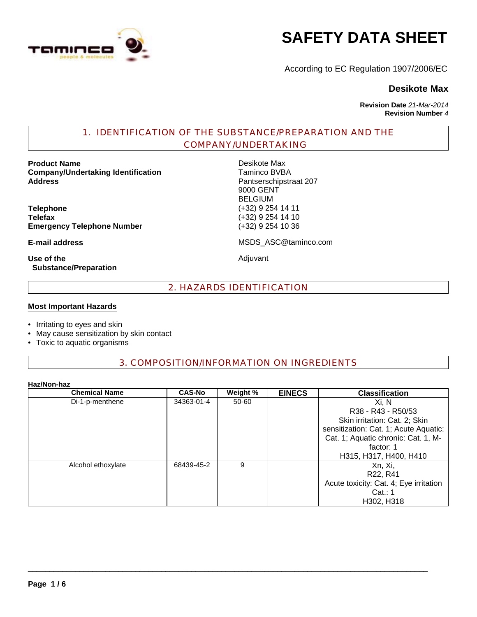

# **SAFETY DATA SHEET**

According to EC Regulation 1907/2006/EC

## **Desikote Max**

**Revision Date** *21-Mar-2014* **Revision Number** *4*

## 1. IDENTIFICATION OF THE SUBSTANCE/PREPARATION AND THE COMPANY/UNDERTAKING

**Product Name**<br> **Company/Undertaking Identification**<br>
Company/Undertaking Identification<br>
Company/Undertaking Identification **Company/Undertaking Identification Address** Pantserschipstraat 207

**Telephone** (+32) 9 254 14 11 **Emergency Telephone Number** (+32) 9 254 10 36

**Use of the Substance/Preparation** 9000 GENT BELGIUM **Telefax** (+32) 9 254 14 10

**E-mail address** MSDS\_ASC@taminco.com

Adjuvant

2. HAZARDS IDENTIFICATION

#### **Most Important Hazards**

- Irritating to eyes and skin
- May cause sensitization by skin contact
- Toxic to aquatic organisms

## 3. COMPOSITION/INFORMATION ON INGREDIENTS

#### **Haz/Non-haz**

| <b>Chemical Name</b> | <b>CAS-No</b> | Weight % | <b>EINECS</b> | <b>Classification</b>                  |
|----------------------|---------------|----------|---------------|----------------------------------------|
| Di-1-p-menthene      | 34363-01-4    | 50-60    |               | Xi, N                                  |
|                      |               |          |               | R38 - R43 - R50/53                     |
|                      |               |          |               | Skin irritation: Cat. 2; Skin          |
|                      |               |          |               | sensitization: Cat. 1; Acute Aquatic:  |
|                      |               |          |               | Cat. 1; Aquatic chronic: Cat. 1, M-    |
|                      |               |          |               | factor: 1                              |
|                      |               |          |               | H315, H317, H400, H410                 |
| Alcohol ethoxylate   | 68439-45-2    | 9        |               | Xn, Xi,                                |
|                      |               |          |               | R <sub>22</sub> , R <sub>41</sub>      |
|                      |               |          |               | Acute toxicity: Cat. 4; Eye irritation |
|                      |               |          |               | Cat. : 1                               |
|                      |               |          |               | H302, H318                             |

 $\_$  ,  $\_$  ,  $\_$  ,  $\_$  ,  $\_$  ,  $\_$  ,  $\_$  ,  $\_$  ,  $\_$  ,  $\_$  ,  $\_$  ,  $\_$  ,  $\_$  ,  $\_$  ,  $\_$  ,  $\_$  ,  $\_$  ,  $\_$  ,  $\_$  ,  $\_$  ,  $\_$  ,  $\_$  ,  $\_$  ,  $\_$  ,  $\_$  ,  $\_$  ,  $\_$  ,  $\_$  ,  $\_$  ,  $\_$  ,  $\_$  ,  $\_$  ,  $\_$  ,  $\_$  ,  $\_$  ,  $\_$  ,  $\_$  ,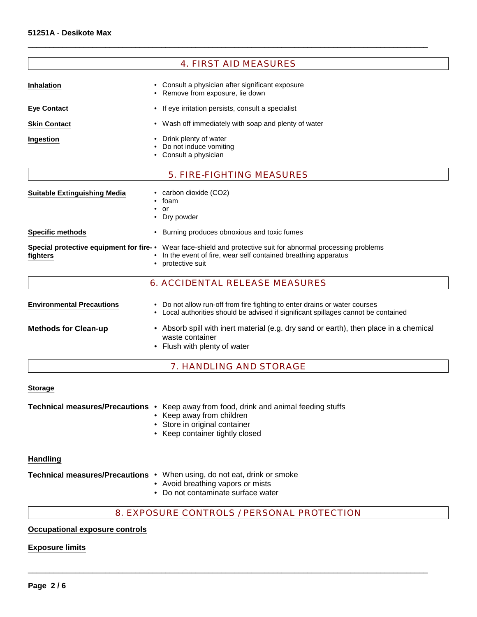|                                                                                     | <b>4. FIRST AID MEASURES</b>                                                                                                                                                                                                 |  |  |  |  |
|-------------------------------------------------------------------------------------|------------------------------------------------------------------------------------------------------------------------------------------------------------------------------------------------------------------------------|--|--|--|--|
| <b>Inhalation</b>                                                                   | • Consult a physician after significant exposure<br>Remove from exposure, lie down                                                                                                                                           |  |  |  |  |
| <b>Eye Contact</b>                                                                  | If eye irritation persists, consult a specialist                                                                                                                                                                             |  |  |  |  |
| <b>Skin Contact</b>                                                                 | • Wash off immediately with soap and plenty of water                                                                                                                                                                         |  |  |  |  |
| Drink plenty of water<br>Ingestion<br>Do not induce vomiting<br>Consult a physician |                                                                                                                                                                                                                              |  |  |  |  |
|                                                                                     | <b>5. FIRE-FIGHTING MEASURES</b>                                                                                                                                                                                             |  |  |  |  |
| <b>Suitable Extinguishing Media</b>                                                 | • carbon dioxide (CO2)<br>foam<br>or<br>Dry powder                                                                                                                                                                           |  |  |  |  |
| <b>Specific methods</b>                                                             | • Burning produces obnoxious and toxic fumes                                                                                                                                                                                 |  |  |  |  |
| fighters                                                                            | Special protective equipment for fire- • Wear face-shield and protective suit for abnormal processing problems<br>In the event of fire, wear self contained breathing apparatus<br>$\bullet$<br>protective suit<br>$\bullet$ |  |  |  |  |
|                                                                                     | <b>6. ACCIDENTAL RELEASE MEASURES</b>                                                                                                                                                                                        |  |  |  |  |
| <b>Environmental Precautions</b>                                                    | • Do not allow run-off from fire fighting to enter drains or water courses<br>• Local authorities should be advised if significant spillages cannot be contained                                                             |  |  |  |  |
| <b>Methods for Clean-up</b>                                                         | • Absorb spill with inert material (e.g. dry sand or earth), then place in a chemical<br>waste container<br>Flush with plenty of water                                                                                       |  |  |  |  |
|                                                                                     | <b>7. HANDLING AND STORAGE</b>                                                                                                                                                                                               |  |  |  |  |

#### **Storage**

- **Technical measures/Precautions** Keep away from food, drink and animal feeding stuffs
	- Keep away from children
	- Store in original container
	- Keep container tightly closed

#### **Handling**

**Technical measures/Precautions** • When using, do not eat, drink or smoke

- Avoid breathing vapors or mists
	- Do not contaminate surface water

## 8. EXPOSURE CONTROLS / PERSONAL PROTECTION

 $\overline{\phantom{a}}$  , and the contribution of the contribution of the contribution of the contribution of the contribution of the contribution of the contribution of the contribution of the contribution of the contribution of the

#### **Occupational exposure controls**

#### **Exposure limits**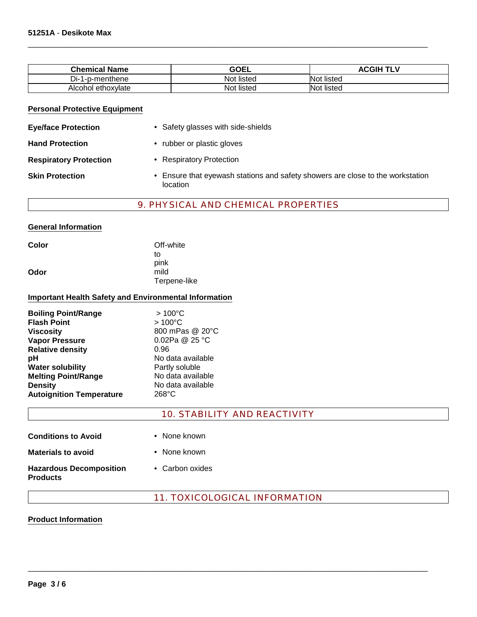| <b>Chemical Name</b>  | <b>GOEL</b> | TI V<br><b>ACGIH</b> |
|-----------------------|-------------|----------------------|
| Di-<br>1-p-menthene   | Not listed  | listed<br>Not.       |
| ethoxvlate<br>Alcohol | Not listed  | Not<br>⊺listed       |

 $\_$  ,  $\_$  ,  $\_$  ,  $\_$  ,  $\_$  ,  $\_$  ,  $\_$  ,  $\_$  ,  $\_$  ,  $\_$  ,  $\_$  ,  $\_$  ,  $\_$  ,  $\_$  ,  $\_$  ,  $\_$  ,  $\_$  ,  $\_$  ,  $\_$  ,  $\_$  ,  $\_$  ,  $\_$  ,  $\_$  ,  $\_$  ,  $\_$  ,  $\_$  ,  $\_$  ,  $\_$  ,  $\_$  ,  $\_$  ,  $\_$  ,  $\_$  ,  $\_$  ,  $\_$  ,  $\_$  ,  $\_$  ,  $\_$  ,

#### **Personal Protective Equipment**

**•** Safety glasses with side-shields

- 
- **Hand Protection rubber or plastic gloves**
- **Respiratory Protection Respiratory Protection** 
	-
- 
- **Skin Protection** Ensure that eyewash stations and safety showers are close to the workstation location

## 9. PHYSICAL AND CHEMICAL PROPERTIES

#### **General Information**

| Color | Off-white    |
|-------|--------------|
|       | t٥           |
|       | pink         |
| Odor  | mild         |
|       | Terpene-like |

#### **Important Health Safety and Environmental Information**

| <b>Boiling Point/Range</b>      | $>100^{\circ}$ C  |
|---------------------------------|-------------------|
| <b>Flash Point</b>              | $>100^{\circ}$ C  |
| <b>Viscosity</b>                | 800 mPas @ 20°C   |
| <b>Vapor Pressure</b>           | 0.02Pa @ 25 °C    |
| <b>Relative density</b>         | 0.96              |
| рH                              | No data available |
| <b>Water solubility</b>         | Partly soluble    |
| <b>Melting Point/Range</b>      | No data available |
| <b>Density</b>                  | No data available |
| <b>Autoignition Temperature</b> | $268^{\circ}$ C   |

## 10. STABILITY AND REACTIVITY

| <b>Conditions to Avoid</b>                        | • None known    |
|---------------------------------------------------|-----------------|
| <b>Materials to avoid</b>                         | • None known    |
| <b>Hazardous Decomposition</b><br><b>Products</b> | • Carbon oxides |

## 11. TOXICOLOGICAL INFORMATION

 $\_$  ,  $\_$  ,  $\_$  ,  $\_$  ,  $\_$  ,  $\_$  ,  $\_$  ,  $\_$  ,  $\_$  ,  $\_$  ,  $\_$  ,  $\_$  ,  $\_$  ,  $\_$  ,  $\_$  ,  $\_$  ,  $\_$  ,  $\_$  ,  $\_$  ,  $\_$  ,  $\_$  ,  $\_$  ,  $\_$  ,  $\_$  ,  $\_$  ,  $\_$  ,  $\_$  ,  $\_$  ,  $\_$  ,  $\_$  ,  $\_$  ,  $\_$  ,  $\_$  ,  $\_$  ,  $\_$  ,  $\_$  ,  $\_$  ,

#### **Product Information**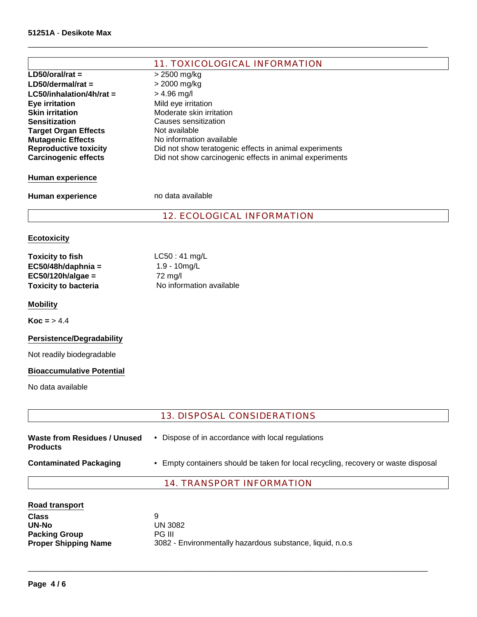|                                  | <b>11. TOXICOLOGICAL INFORMATION</b>                    |
|----------------------------------|---------------------------------------------------------|
| $LD50/oral/rat =$                | > 2500 mg/kg                                            |
| $LD50/dermal/rat =$              | > 2000 mg/kg                                            |
| $LC50/inhalation/4h/rat =$       | $> 4.96$ mg/l                                           |
| <b>Eye irritation</b>            | Mild eye irritation                                     |
| <b>Skin irritation</b>           | Moderate skin irritation                                |
| <b>Sensitization</b>             | Causes sensitization                                    |
| <b>Target Organ Effects</b>      | Not available                                           |
| <b>Mutagenic Effects</b>         | No information available                                |
| <b>Reproductive toxicity</b>     | Did not show teratogenic effects in animal experiments  |
| <b>Carcinogenic effects</b>      | Did not show carcinogenic effects in animal experiments |
| <b>Human experience</b>          |                                                         |
| <b>Human experience</b>          | no data available                                       |
|                                  | <b>12. ECOLOGICAL INFORMATION</b>                       |
| <b>Ecotoxicity</b>               |                                                         |
|                                  |                                                         |
| <b>Toxicity to fish</b>          | $LC50:41$ mg/L                                          |
| $EC50/48h/daphnia =$             | $1.9 - 10$ mg/L                                         |
| $EC50/120h/algae =$              | 72 mg/l                                                 |
| <b>Toxicity to bacteria</b>      | No information available                                |
| <b>Mobility</b>                  |                                                         |
| $Koc = 54.4$                     |                                                         |
| <b>Persistence/Degradability</b> |                                                         |
| Not readily biodegradable        |                                                         |
|                                  |                                                         |

 $\_$  ,  $\_$  ,  $\_$  ,  $\_$  ,  $\_$  ,  $\_$  ,  $\_$  ,  $\_$  ,  $\_$  ,  $\_$  ,  $\_$  ,  $\_$  ,  $\_$  ,  $\_$  ,  $\_$  ,  $\_$  ,  $\_$  ,  $\_$  ,  $\_$  ,  $\_$  ,  $\_$  ,  $\_$  ,  $\_$  ,  $\_$  ,  $\_$  ,  $\_$  ,  $\_$  ,  $\_$  ,  $\_$  ,  $\_$  ,  $\_$  ,  $\_$  ,  $\_$  ,  $\_$  ,  $\_$  ,  $\_$  ,  $\_$  ,

# **Bioaccumulative Potential**

No data available

|                                                        | <b>13. DISPOSAL CONSIDERATIONS</b>                                                 |  |  |  |  |
|--------------------------------------------------------|------------------------------------------------------------------------------------|--|--|--|--|
| <b>Waste from Residues / Unused</b><br><b>Products</b> | • Dispose of in accordance with local regulations                                  |  |  |  |  |
| <b>Contaminated Packaging</b>                          | • Empty containers should be taken for local recycling, recovery or waste disposal |  |  |  |  |
|                                                        | <b>14. TRANSPORT INFORMATION</b>                                                   |  |  |  |  |
| <b>Road transport</b>                                  |                                                                                    |  |  |  |  |
| <b>Class</b>                                           | 9                                                                                  |  |  |  |  |
| <b>UN-No</b>                                           | UN 3082                                                                            |  |  |  |  |
| <b>Packing Group</b>                                   | PG III                                                                             |  |  |  |  |
| <b>Proper Shipping Name</b>                            | 3082 - Environmentally hazardous substance, liquid, n.o.s                          |  |  |  |  |

 $\_$  ,  $\_$  ,  $\_$  ,  $\_$  ,  $\_$  ,  $\_$  ,  $\_$  ,  $\_$  ,  $\_$  ,  $\_$  ,  $\_$  ,  $\_$  ,  $\_$  ,  $\_$  ,  $\_$  ,  $\_$  ,  $\_$  ,  $\_$  ,  $\_$  ,  $\_$  ,  $\_$  ,  $\_$  ,  $\_$  ,  $\_$  ,  $\_$  ,  $\_$  ,  $\_$  ,  $\_$  ,  $\_$  ,  $\_$  ,  $\_$  ,  $\_$  ,  $\_$  ,  $\_$  ,  $\_$  ,  $\_$  ,  $\_$  ,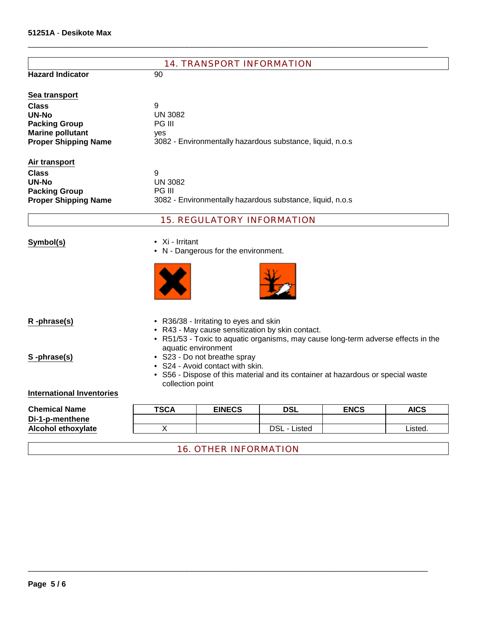| <b>14. TRANSPORT INFORMATION</b> |                  |                                                                                                                   |                                                                                   |             |             |
|----------------------------------|------------------|-------------------------------------------------------------------------------------------------------------------|-----------------------------------------------------------------------------------|-------------|-------------|
| <b>Hazard Indicator</b>          | 90               |                                                                                                                   |                                                                                   |             |             |
| Sea transport                    |                  |                                                                                                                   |                                                                                   |             |             |
| <b>Class</b>                     | 9                |                                                                                                                   |                                                                                   |             |             |
| <b>UN-No</b>                     | <b>UN 3082</b>   |                                                                                                                   |                                                                                   |             |             |
| <b>Packing Group</b>             | PG III           |                                                                                                                   |                                                                                   |             |             |
| <b>Marine pollutant</b>          | yes              |                                                                                                                   |                                                                                   |             |             |
| <b>Proper Shipping Name</b>      |                  |                                                                                                                   | 3082 - Environmentally hazardous substance, liquid, n.o.s                         |             |             |
| Air transport                    |                  |                                                                                                                   |                                                                                   |             |             |
| <b>Class</b>                     | 9                |                                                                                                                   |                                                                                   |             |             |
| <b>UN-No</b>                     | <b>UN 3082</b>   |                                                                                                                   |                                                                                   |             |             |
| <b>Packing Group</b>             | PG III           |                                                                                                                   |                                                                                   |             |             |
| <b>Proper Shipping Name</b>      |                  |                                                                                                                   | 3082 - Environmentally hazardous substance, liquid, n.o.s                         |             |             |
|                                  |                  | <b>15. REGULATORY INFORMATION</b>                                                                                 |                                                                                   |             |             |
| Symbol(s)                        | • Xi - Irritant  | • N - Dangerous for the environment.                                                                              |                                                                                   |             |             |
|                                  |                  |                                                                                                                   |                                                                                   |             |             |
| R-phrase(s)                      |                  | • R36/38 - Irritating to eyes and skin<br>• R43 - May cause sensitization by skin contact.<br>aquatic environment | • R51/53 - Toxic to aquatic organisms, may cause long-term adverse effects in the |             |             |
| S-phrase(s)                      | collection point | • S23 - Do not breathe spray<br>• S24 - Avoid contact with skin.                                                  | • S56 - Dispose of this material and its container at hazardous or special waste  |             |             |
| <b>International Inventories</b> |                  |                                                                                                                   |                                                                                   |             |             |
| <b>Chemical Name</b>             | <b>TSCA</b>      | <b>EINECS</b>                                                                                                     | <b>DSL</b>                                                                        | <b>ENCS</b> | <b>AICS</b> |
| Di_1_n_manthana                  |                  |                                                                                                                   |                                                                                   |             |             |

 $\_$  ,  $\_$  ,  $\_$  ,  $\_$  ,  $\_$  ,  $\_$  ,  $\_$  ,  $\_$  ,  $\_$  ,  $\_$  ,  $\_$  ,  $\_$  ,  $\_$  ,  $\_$  ,  $\_$  ,  $\_$  ,  $\_$  ,  $\_$  ,  $\_$  ,  $\_$  ,  $\_$  ,  $\_$  ,  $\_$  ,  $\_$  ,  $\_$  ,  $\_$  ,  $\_$  ,  $\_$  ,  $\_$  ,  $\_$  ,  $\_$  ,  $\_$  ,  $\_$  ,  $\_$  ,  $\_$  ,  $\_$  ,  $\_$  ,

| Di-1-p-menthene           |  |               |         |
|---------------------------|--|---------------|---------|
| <b>Alcohol ethoxylate</b> |  | DSL<br>_isted | .isted. |
|                           |  |               |         |

 $\_$  ,  $\_$  ,  $\_$  ,  $\_$  ,  $\_$  ,  $\_$  ,  $\_$  ,  $\_$  ,  $\_$  ,  $\_$  ,  $\_$  ,  $\_$  ,  $\_$  ,  $\_$  ,  $\_$  ,  $\_$  ,  $\_$  ,  $\_$  ,  $\_$  ,  $\_$  ,  $\_$  ,  $\_$  ,  $\_$  ,  $\_$  ,  $\_$  ,  $\_$  ,  $\_$  ,  $\_$  ,  $\_$  ,  $\_$  ,  $\_$  ,  $\_$  ,  $\_$  ,  $\_$  ,  $\_$  ,  $\_$  ,  $\_$  ,

## 16. OTHER INFORMATION